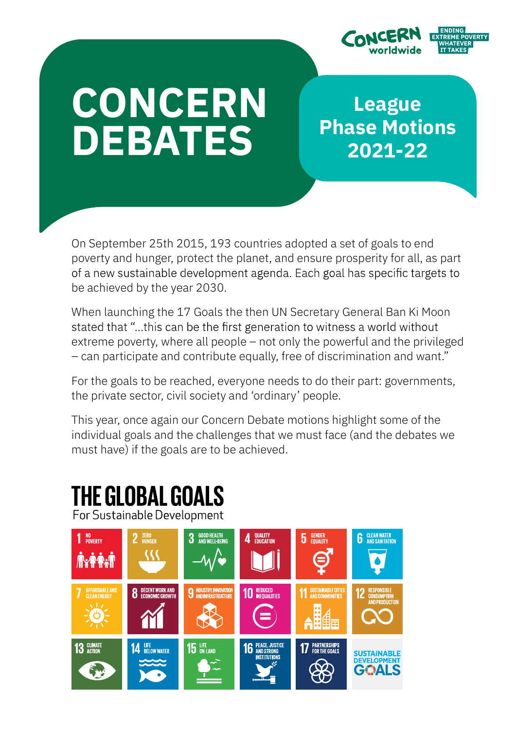

# **CONCERN** DEBATES

League Phase Motions 2021-22

On September 25th 2015, 193 countries adopted a set of goals to end poverty and hunger, protect the planet, and ensure prosperity for all, as part of a new sustainable development agenda. Each goal has specific targets to be achieved by the year 2030.

When launching the 17 Goals the then UN Secretary General Ban Ki Moon stated that "...this can be the first generation to witness a world without extreme poverty, where all people – not only the powerful and the privileged – can participate and contribute equally, free of discrimination and want."

For the goals to be reached, everyone needs to do their part: governments, the private sector, civil society and 'ordinary' people.

This year, once again our Concern Debate motions highlight some of the individual goals and the challenges that we must face (and the debates we must have) if the goals are to be achieved.

# THE GLOBAL GOALS

For Sustainable Development

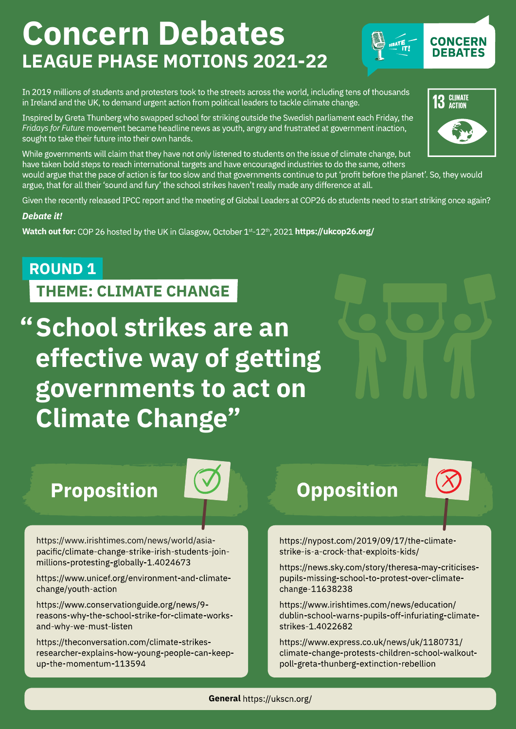# Concern Debates LEAGUE PHASE MOTIONS 2021-22



In 2019 millions of students and protesters took to the streets across the world, including tens of thousands in Ireland and the UK, to demand urgent action from political leaders to tackle climate change.

Inspired by Greta Thunberg who swapped school for striking outside the Swedish parliament each Friday, the Fridays for Future movement became headline news as youth, angry and frustrated at government inaction, sought to take their future into their own hands.

While governments will claim that they have not only listened to students on the issue of climate change, but have taken bold steps to reach international targets and have encouraged industries to do the same, others would argue that the pace of action is far too slow and that governments continue to put 'profit before the planet'. So, they would argue, that for all their 'sound and fury' the school strikes haven't really made any difference at all.

Given the recently released IPCC report and the meeting of Global Leaders at COP26 do students need to start striking once again?

#### Debate it!

Watch out for: COP 26 hosted by the UK in Glasgow, October 1st-12th, 2021 https://ukcop26.org/

### ROUND 1

THEME: CLIMATE CHANGE

" School strikes are an effective way of getting governments to act on Climate Change"

## **Proposition**



https://www.irishtimes.com/news/world/asiapacific/climate-change-strike-irish-students-joinmillions-protesting-globally-1.4024673

https://www.unicef.org/environment-and-climatechange/youth-action

https://www.conservationguide.org/news/9reasons-why-the-school-strike-for-climate-worksand-why-we-must-listen

https://theconversation.com/climate-strikesresearcher-explains-how-young-people-can-keepup-the-momentum-113594

### **Opposition**



https://nypost.com/2019/09/17/the-climatestrike-is-a-crock-that-exploits-kids/

https://news.sky.com/story/theresa-may-criticisespupils-missing-school-to-protest-over-climatechange 11638238

https://www.irishtimes.com/news/education/ dublin-school-warns-pupils-off-infuriating-climatestrikes-1.4022682

https://www.express.co.uk/news/uk/1180731/ climate-change-protests-children-school-walkoutpoll-greta-thunberg-extinction-rebellion

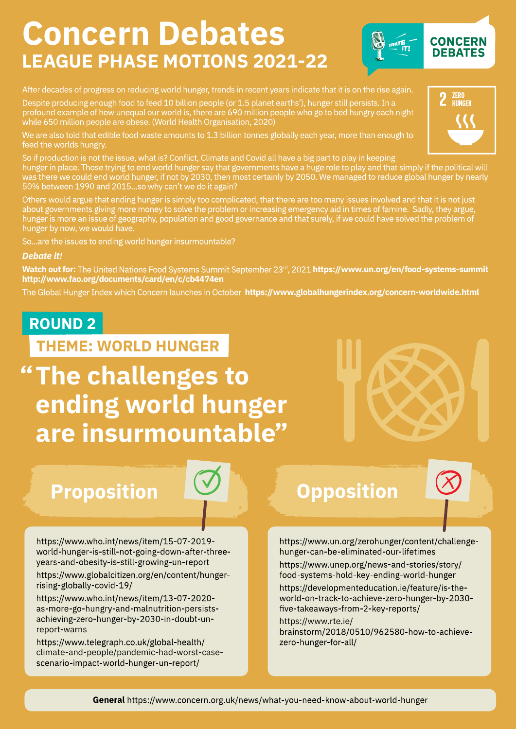## Concern Debates LEAGUE PHASE MOTIONS 2021-22



#### After decades of progress on reducing world hunger, trends in recent years indicate that it is on the rise again.

Despite producing enough food to feed 10 billion people (or 1.5 planet earths'), hunger still persists. In a profound example of how unequal our world is, there are 690 million people who go to bed hungry each night while 650 million people are obese. (World Health Organisation, 2020)

We are also told that edible food waste amounts to 1.3 billion tonnes globally each year, more than enough to feed the worlds hungry.

So if production is not the issue, what is? Conflict, Climate and Covid all have a big part to play in keeping hunger in place. Those trying to end world hunger say that governments have a huge role to play and that simply if the political will was there we could end world hunger, if not by 2030, then most certainly by 2050. We managed to reduce global hunger by nearly 50% between 1990 and 2015...so why can't we do it again?

Others would argue that ending hunger is simply too complicated, that there are too many issues involved and that it is not just about governments giving more money to solve the problem or increasing emergency aid in times of famine. Sadly, they argue, hunger is more an issue of geography, population and good governance and that surely, if we could have solved the problem of hunger by now, we would have.

So...are the issues to ending world hunger insurmountable?

#### Debate it!

Watch out for: The United Nations Food Systems Summit September 23<sup>rd</sup>, 2021 https://www.un.org/en/food-systems-summit http://www.fao.org/documents/card/en/c/cb4474en

The Global Hunger Index which Concern launches in October https://www.globalhungerindex.org/concern-worldwide.html

### ROUND 2

THEME: WORLD HUNGER

" The challenges to ending world hunger are insurmountable"

### **Proposition**

https://www.who.int/news/item/15-07-2019world-hunger-is-still-not-going-down-after-threeyears-and-obesity-is-still-growing-un-report

https://www.globalcitizen.org/en/content/hungerrising-globally-covid-19/

https://www.who.int/news/item/13-07-2020as-more-go-hungry-and-malnutrition-persistsachieving-zero-hunger-by-2030-in-doubt-unreport-warns

https://www.telegraph.co.uk/global-health/ climate-and-people/pandemic-had-worst-casescenario-impact-world-hunger-un-report/

### **Opposition**

https://www.un.org/zerohunger/content/challengehunger-can-be-eliminated-our-lifetimes

https://www.unep.org/news-and-stories/story/ food-systems-hold-key-ending-world-hunger https://developmenteducation.ie/feature/is-theworld-on-track-to-achieve-zero-hunger-by-2030five-takeaways-from-2-key-reports/

#### https://www.rte.ie/ brainstorm/2018/0510/962580-how-to-achievezero-hunger-for-all/